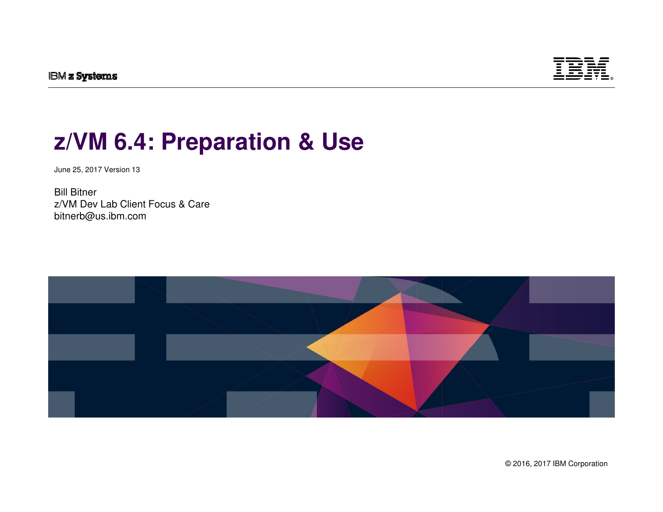

## **z/VM 6.4: Preparation & Use**

June 25, 2017 Version 13

Bill Bitner z/VM Dev Lab Client Focus & Carebitnerb@us.ibm.com



© 2016, 2017 IBM Corporation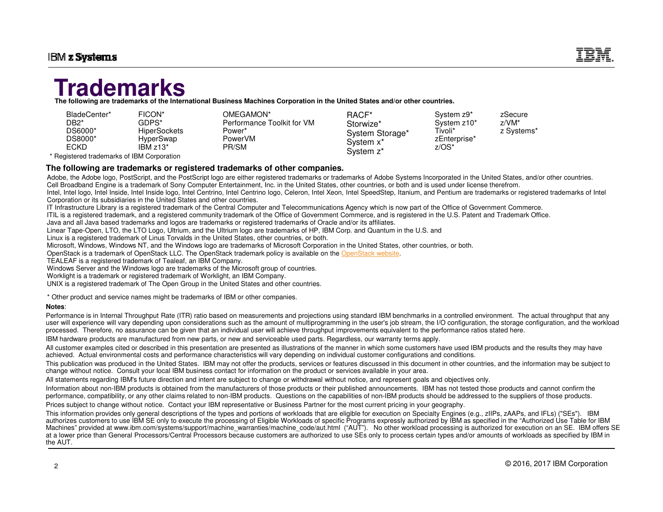#### **Trademarks**

**The following are trademarks of the International Business Machines Corporation in the United States and/or other countries.**

| BladeCenter*<br>$DB2*$<br>DS6000*<br>DS8000*<br><b>ECKD</b> | FICON*<br>GDPS*<br><b>HiperSockets</b><br>HyperSwap<br>$IBMz13*$ | OMEGAMON*<br>Performance Toolkit for VM<br>Power*<br>PowerVM<br>PR/SM | RACF*<br>Storwize*<br>System Storage*<br>System x <sup>*</sup> | System z9*<br>System z10 <sup>*</sup><br>Tivoli*<br>zEnterprise*<br>$Z/OS^*$ | zSecure<br>$Z/VM^*$<br>z Systems* |
|-------------------------------------------------------------|------------------------------------------------------------------|-----------------------------------------------------------------------|----------------------------------------------------------------|------------------------------------------------------------------------------|-----------------------------------|
| Desistazed trademarks of IDM Carneration                    |                                                                  |                                                                       | System z*                                                      |                                                                              |                                   |

\* Registered trademarks of IBM Corporation

#### **The following are trademarks or registered trademarks of other companies.**

Adobe, the Adobe logo, PostScript, and the PostScript logo are either registered trademarks or trademarks of Adobe Systems Incorporated in the United States, and/or other countries.

Cell Broadband Engine is a trademark of Sony Computer Entertainment, Inc. in the United States, other countries, or both and is used under license therefrom.

Intel, Intel logo, Intel Inside, Intel Inside logo, Intel Centrino, Intel Centrino logo, Celeron, Intel Xeon, Intel SpeedStep, Itanium, and Pentium are trademarks or registered trademarks of Intel Corporation or its subsidiaries in the United States and other countries.

IT Infrastructure Library is a registered trademark of the Central Computer and Telecommunications Agency which is now part of the Office of Government Commerce.

ITIL is a registered trademark, and a registered community trademark of the Office of Government Commerce, and is registered in the U.S. Patent and Trademark Office.

Java and all Java based trademarks and logos are trademarks or registered trademarks of Oracle and/or its affiliates.

Linear Tape-Open, LTO, the LTO Logo, Ultrium, and the Ultrium logo are trademarks of HP, IBM Corp. and Quantum in the U.S. and

Linux is a registered trademark of Linus Torvalds in the United States, other countries, or both.

Microsoft, Windows, Windows NT, and the Windows logo are trademarks of Microsoft Corporation in the United States, other countries, or both.

OpenStack is a trademark of OpenStack LLC. The OpenStack trademark policy is available on the OpenStack website.

TEALEAF is a registered trademark of Tealeaf, an IBM Company.

Windows Server and the Windows logo are trademarks of the Microsoft group of countries.

Worklight is a trademark or registered trademark of Worklight, an IBM Company.

UNIX is a registered trademark of The Open Group in the United States and other countries.

\* Other product and service names might be trademarks of IBM or other companies.

#### **Notes**:

Performance is in Internal Throughput Rate (ITR) ratio based on measurements and projections using standard IBM benchmarks in a controlled environment. The actual throughput that any user will experience will vary depending upon considerations such as the amount of multiprogramming in the user's job stream, the I/O configuration, the storage configuration, and the workload processed. Therefore, no assurance can be given that an individual user will achieve throughput improvements equivalent to the performance ratios stated here.

IBM hardware products are manufactured from new parts, or new and serviceable used parts. Regardless, our warranty terms apply.

All customer examples cited or described in this presentation are presented as illustrations of the manner in which some customers have used IBM products and the results they may have achieved. Actual environmental costs and performance characteristics will vary depending on individual customer configurations and conditions.

This publication was produced in the United States. IBM may not offer the products, services or features discussed in this document in other countries, and the information may be subject to change without notice. Consult your local IBM business contact for information on the product or services available in your area.

All statements regarding IBM's future direction and intent are subject to change or withdrawal without notice, and represent goals and objectives only.

 Information about non-IBM products is obtained from the manufacturers of those products or their published announcements. IBM has not tested those products and cannot confirm the performance, compatibility, or any other claims related to non-IBM products. Questions on the capabilities of non-IBM products should be addressed to the suppliers of those products.

Prices subject to change without notice. Contact your IBM representative or Business Partner for the most current pricing in your geography.

This information provides only general descriptions of the types and portions of workloads that are eligible for execution on Specialty Engines (e.g., zIIPs, zAAPs, and IFLs) ("SEs"). IBM authorizes customers to use IBM SE only to execute the processing of Eligible Workloads of specific Programs expressly authorized by IBM as specified in the "Authorized Use Table for IBM Machines" provided at www.ibm.com/systems/support/machine\_warranties/machine\_code/aut.html ("AUT"). No other workload processing is authorized for execution on an SE. IBM offers SE at a lower price than General Processors/Central Processors because customers are authorized to use SEs only to process certain types and/or amounts of workloads as specified by IBM in the AUT.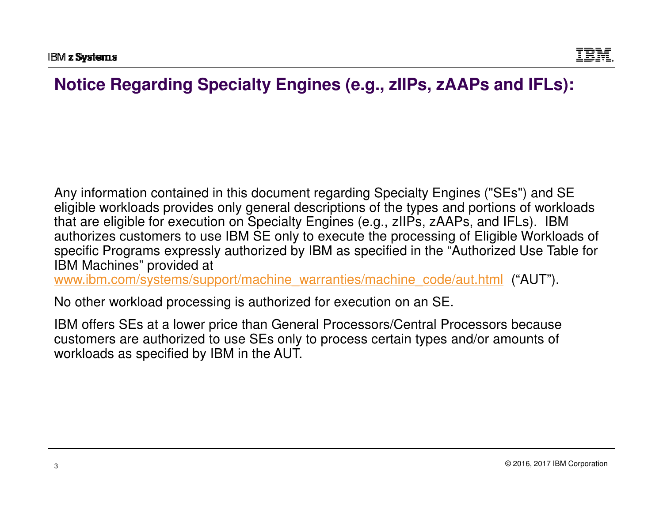#### **Notice Regarding Specialty Engines (e.g., zIIPs, zAAPs and IFLs):**

Any information contained in this document regarding Specialty Engines ("SEs") and SE eligible workloads provides only general descriptions of the types and portions of workloads that are eligible for execution on Specialty Engines (e.g., zIIPs, zAAPs, and IFLs). IBM authorizes customers to use IBM SE only to execute the processing of Eligible Workloads of specific Programs expressly authorized by IBM as specified in the "Authorized Use Table for IBM Machines" provided at

www.ibm.com/systems/support/machine\_warranties/machine\_code/aut.html ("AUT").

No other workload processing is authorized for execution on an SE.

IBM offers SEs at a lower price than General Processors/Central Processors because customers are authorized to use SEs only to process certain types and/or amounts of workloads as specified by IBM in the AUT.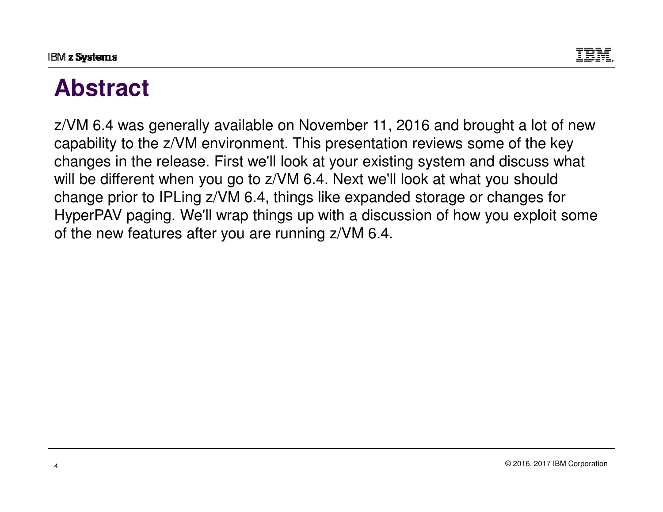

## **Abstract**

z/VM 6.4 was generally available on November 11, 2016 and brought a lot of new capability to the z/VM environment. This presentation reviews some of the key changes in the release. First we'll look at your existing system and discuss what will be different when you go to z/VM 6.4. Next we'll look at what you should change prior to IPLing z/VM 6.4, things like expanded storage or changes for HyperPAV paging. We'll wrap things up with a discussion of how you exploit some of the new features after you are running z/VM 6.4.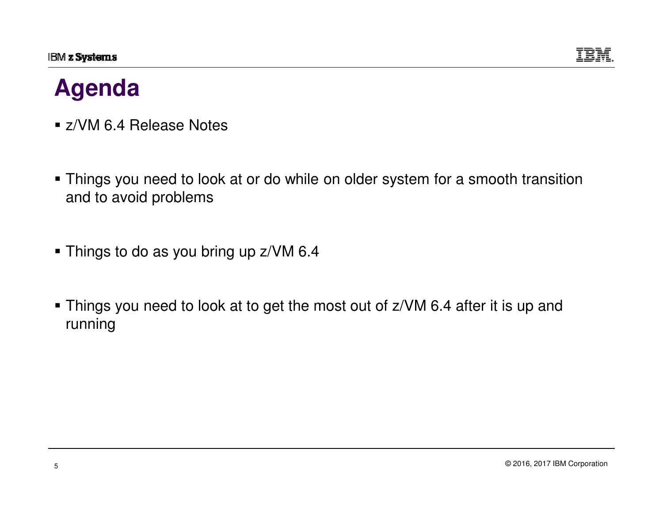

# **Agenda**

- z/VM 6.4 Release Notes
- Things you need to look at or do while on older system for a smooth transition and to avoid problems
- Things to do as you bring up z/VM 6.4
- Things you need to look at to get the most out of z/VM 6.4 after it is up and running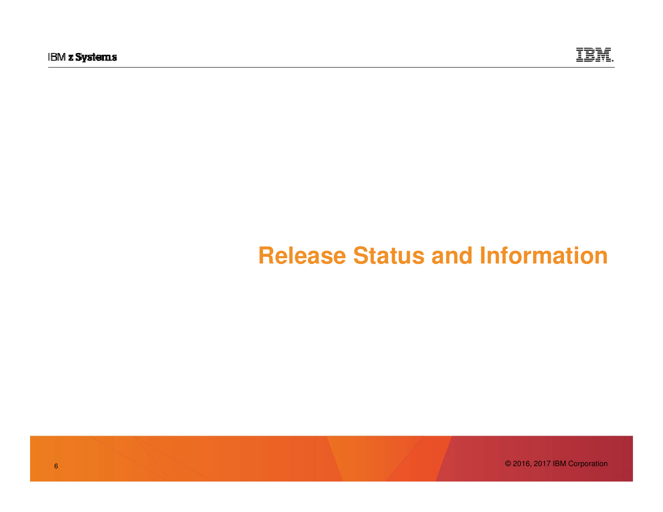

### **Release Status and Information**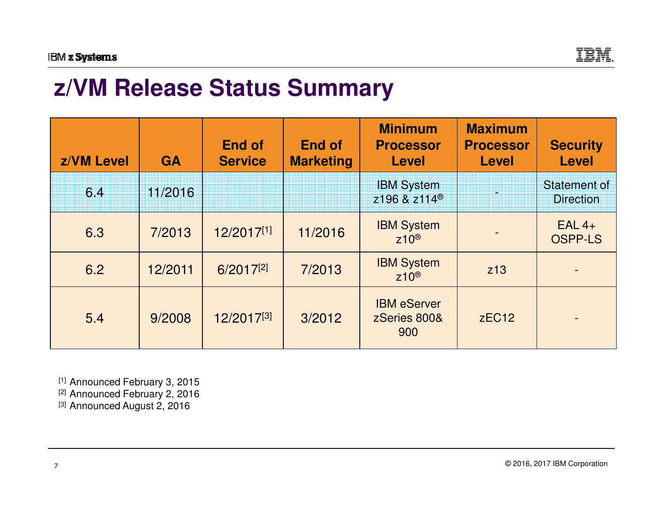

#### **z/VM Release Status Summary**

| z/VM Level | <b>GA</b> | <b>End of</b><br><b>Service</b> | <b>End of</b><br><b>Marketing</b> | <b>Minimum</b><br><b>Processor</b><br><b>Level</b> | <b>Maximum</b><br><b>Processor</b><br><b>Level</b> | <b>Security</b><br><b>Level</b>         |
|------------|-----------|---------------------------------|-----------------------------------|----------------------------------------------------|----------------------------------------------------|-----------------------------------------|
| 6.4        | 11/2016   |                                 |                                   | <b>IBM System</b><br>z196 & z114 <sup>®</sup>      |                                                    | <b>Statement of</b><br><b>Direction</b> |
| 6.3        | 7/2013    | 12/2017[1]                      | 11/2016                           | <b>IBM System</b><br>$Z10^{\circledR}$             |                                                    | $EAL$ 4+<br><b>OSPP-LS</b>              |
| 6.2        | 12/2011   | $6/2017^{[2]}$                  | 7/2013                            | <b>IBM System</b><br>$Z10^{\circledR}$             | z13                                                |                                         |
| 5.4        | 9/2008    | 12/2017[3]                      | 3/2012                            | <b>IBM</b> eServer<br>zSeries 800&<br>900          | zEC12                                              |                                         |

[1] Announced February 3, 2015 <sup>[2]</sup> Announced February 2, 2016 [3] Announced August 2, 2016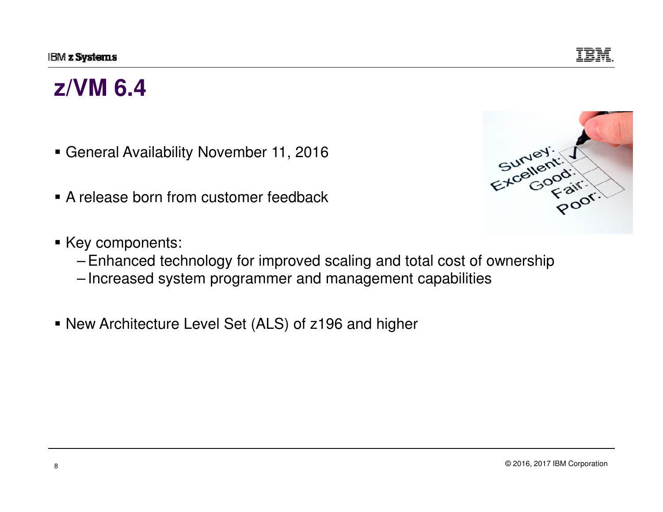

#### **z/VM 6.4**

- General Availability November 11, 2016
- **A** release born from customer feedback



- Key components:
	- Enhanced technology for improved scaling and total cost of ownership
	- Increased system programmer and management capabilities
- New Architecture Level Set (ALS) of z196 and higher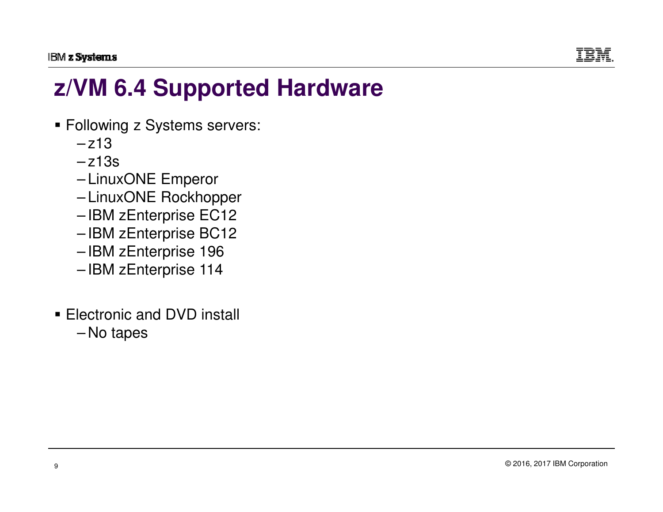

## **z/VM 6.4 Supported Hardware**

- Following z Systems servers:
	- z13
	- z13s
	- LinuxONE Emperor
	- LinuxONE Rockhopper
	- IBM zEnterprise EC12
	- IBM zEnterprise BC12
	- IBM zEnterprise 196
	- IBM zEnterprise 114
- Electronic and DVD install – No tapes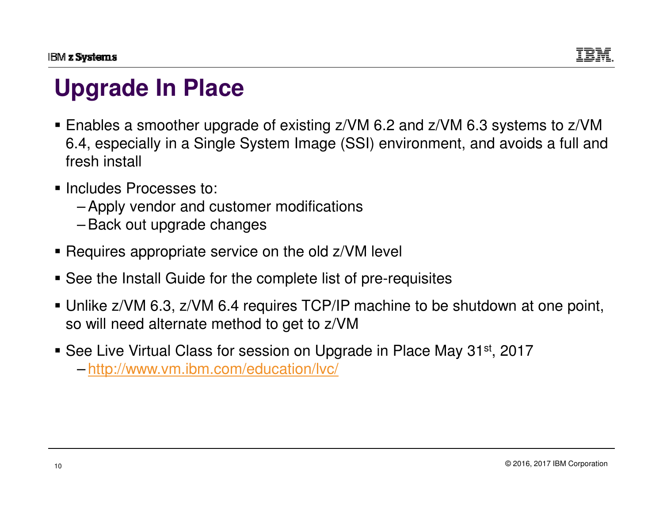# **Upgrade In Place**

- Enables a smoother upgrade of existing z/VM 6.2 and z/VM 6.3 systems to z/VM 6.4, especially in a Single System Image (SSI) environment, and avoids a full and fresh install
- Includes Processes to:
	- Apply vendor and customer modifications
	- Back out upgrade changes
- **Requires appropriate service on the old z/VM level**
- See the Install Guide for the complete list of pre-requisites
- Unlike z/VM 6.3, z/VM 6.4 requires TCP/IP machine to be shutdown at one point, so will need alternate method to get to z/VM
- See Live Virtual Class for session on Upgrade in Place May 31st, 2017 – http://www.vm.ibm.com/education/lvc/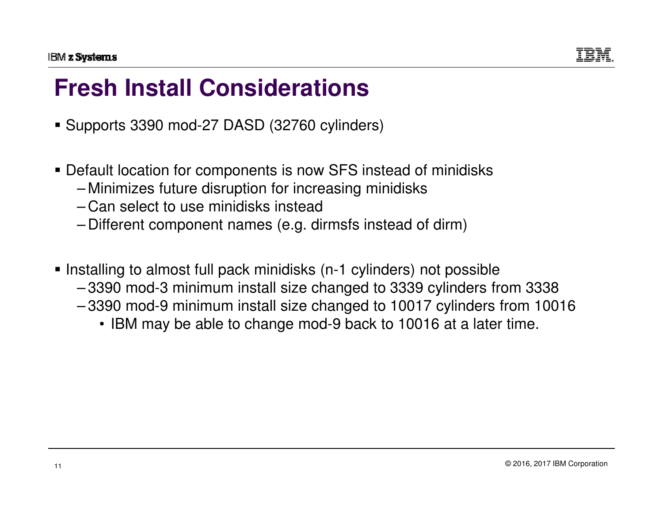

# **Fresh Install Considerations**

- Supports 3390 mod-27 DASD (32760 cylinders)
- Default location for components is now SFS instead of minidisks
	- Minimizes future disruption for increasing minidisks
	- Can select to use minidisks instead
	- Different component names (e.g. dirmsfs instead of dirm)
- $\textcolor{red}{\bullet}$  Installing to almost full pack minidisks (n-1 cylinders) not possible – 3390 mod-3 minimum install size changed to 3339 cylinders from 3338 – 3390 mod-9 minimum install size changed to 10017 cylinders from 10016• IBM may be able to change mod-9 back to 10016 at a later time.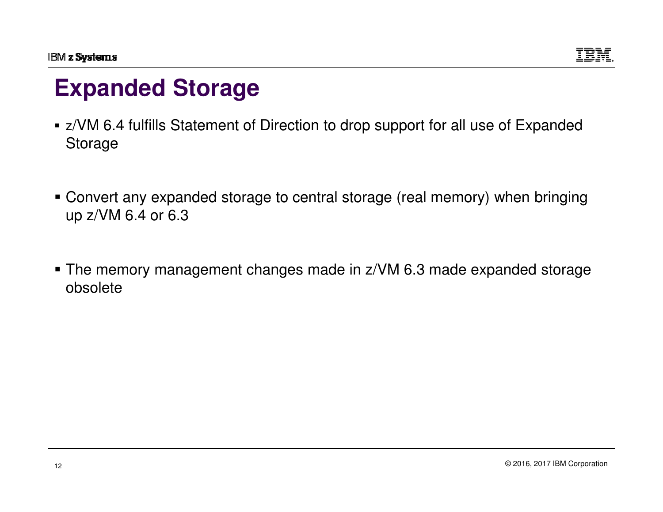## **Expanded Storage**

- <sup>z</sup>/VM 6.4 fulfills Statement of Direction to drop support for all use of Expanded Storage
- Convert any expanded storage to central storage (real memory) when bringing up z/VM 6.4 or 6.3
- The memory management changes made in z/VM 6.3 made expanded storage obsolete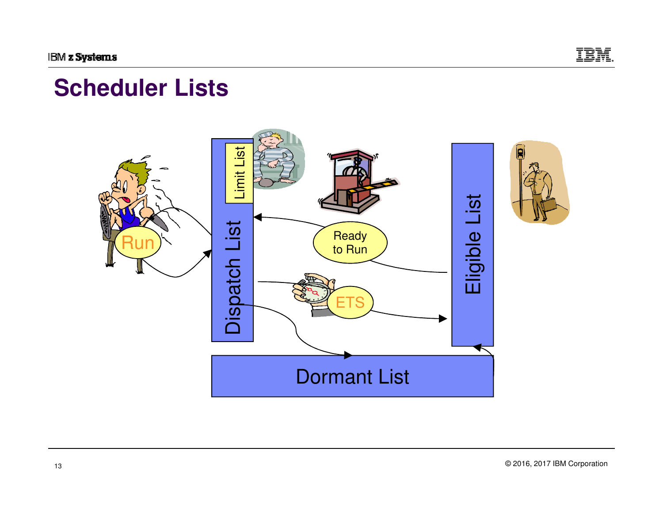

#### **Scheduler Lists**

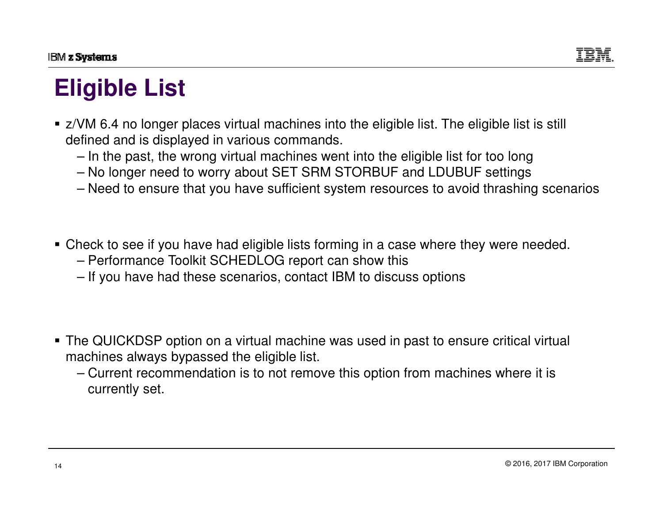

# **Eligible List**

- z/VM 6.4 no longer places virtual machines into the eligible list. The eligible list is still defined and is displayed in various commands.
	- In the past, the wrong virtual machines went into the eligible list for too long
	- No longer need to worry about SET SRM STORBUF and LDUBUF settings
	- Need to ensure that you have sufficient system resources to avoid thrashing scenarios
- Check to see if you have had eligible lists forming in a case where they were needed.
	- Performance Toolkit SCHEDLOG report can show this
	- If you have had these scenarios, contact IBM to discuss options
- The QUICKDSP option on a virtual machine was used in past to ensure critical virtual machines always bypassed the eligible list.
	- Current recommendation is to not remove this option from machines where it is currently set.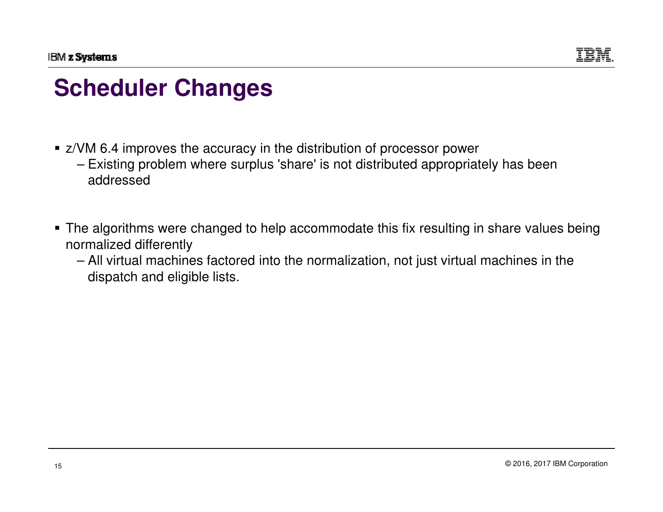

## **Scheduler Changes**

- z/VM 6.4 improves the accuracy in the distribution of processor power
	- Existing problem where surplus 'share' is not distributed appropriately has been addressed
- The algorithms were changed to help accommodate this fix resulting in share values being normalized differently
	- All virtual machines factored into the normalization, not just virtual machines in the dispatch and eligible lists.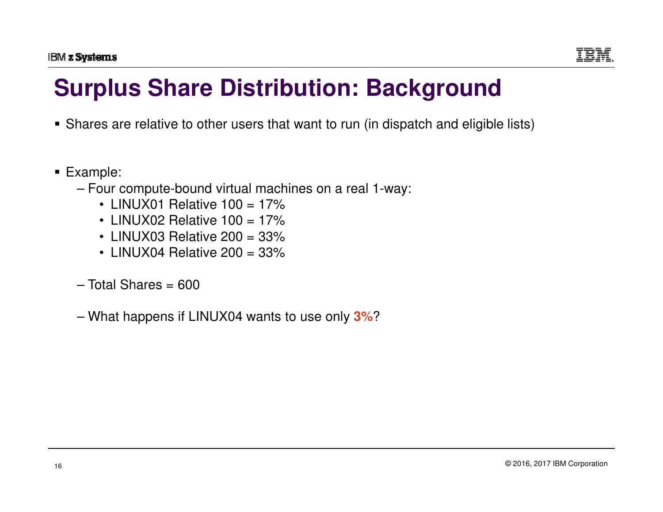

# **Surplus Share Distribution: Background**

- Shares are relative to other users that want to run (in dispatch and eligible lists)
- Example:
	- Four compute-bound virtual machines on a real 1-way:
		- LINUX01 Relative 100 = 17%
		- LINUX02 Relative 100 = 17%
		- LINUX03 Relative 200 = 33%
		- LINUX04 Relative 200 = 33%
	- Total Shares = 600
	- What happens if LINUX04 wants to use only **3%**?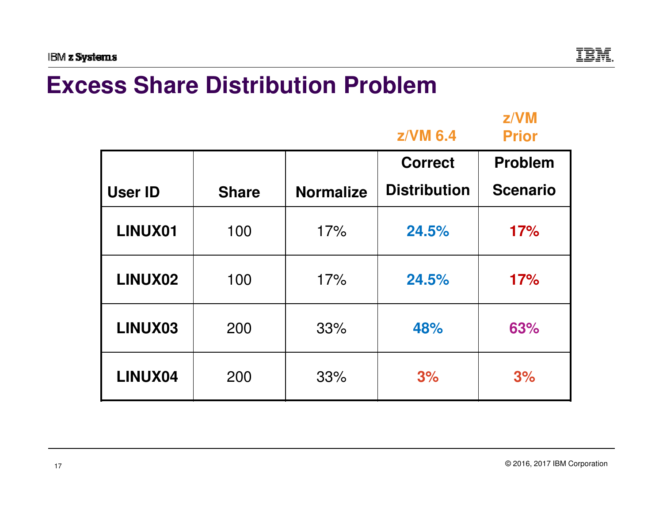

**z/VM** 

#### **Excess Share Distribution Problem**

|                |              |                  | $z/VM$ 6.4          | 47 V IVI<br><b>Prior</b> |
|----------------|--------------|------------------|---------------------|--------------------------|
|                |              |                  | <b>Correct</b>      | <b>Problem</b>           |
| <b>User ID</b> | <b>Share</b> | <b>Normalize</b> | <b>Distribution</b> | <b>Scenario</b>          |
| LINUX01        | 100          | 17%              | 24.5%               | 17%                      |
| LINUX02        | 100          | 17%              | 24.5%               | 17%                      |
| LINUX03        | 200          | 33%              | 48%                 | 63%                      |
| LINUX04        | 200          | 33%              | 3%                  | 3%                       |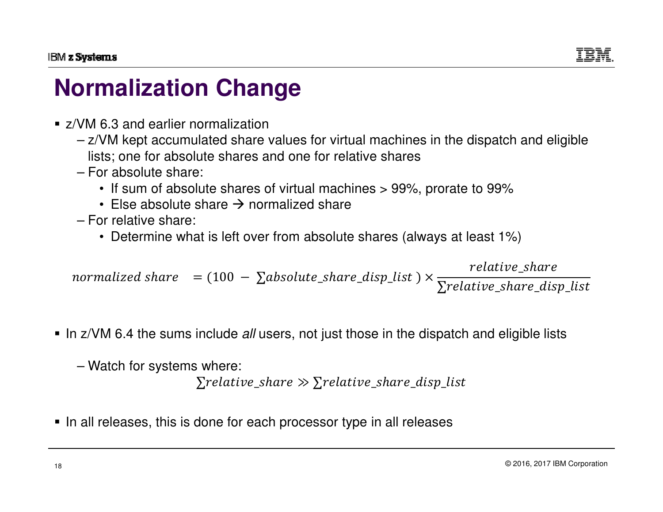

### **Normalization Change**

- z/VM 6.3 and earlier normalization
	- z/VM kept accumulated share values for virtual machines in the dispatch and eligible lists; one for absolute shares and one for relative shares
	- For absolute share:
		- If sum of absolute shares of virtual machines > 99%, prorate to 99%
		- Else absolute share → normalized share<br><sub>Pri</sub>relative share:
	- For relative share:
		- Determine what is left over from absolute shares (always at least 1%)

normalized share  $\quad = (100\, -\, \Sigma$ absolute\_share\_disp\_list )  $\times\, \frac{relative\_share}{\sum relative\_share\_disp\_list}$ 

 $\textcolor{red}{\bullet}$  In z/VM 6.4 the sums include *all* users, not just those in the dispatch and eligible lists

```
– Watch for systems where:
```

```
\sumrelative_share \gg \sumrelative_share_disp_list
```
 $\textcolor{red}{\bullet}$  In all releases, this is done for each processor type in all releases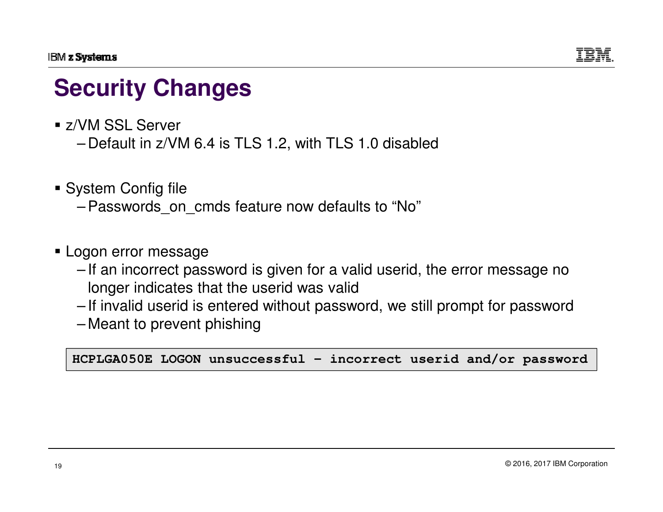

# **Security Changes**

- z/VM SSL Server
	- Default in z/VM 6.4 is TLS 1.2, with TLS 1.0 disabled
- System Config file
	- Passwords\_on\_cmds feature now defaults to "No"
- Logon error message
	- If an incorrect password is given for a valid userid, the error message no longer indicates that the userid was valid
	- If invalid userid is entered without password, we still prompt for password
	- Meant to prevent phishing

**HCPLGA050E LOGON unsuccessful – incorrect userid and/or password**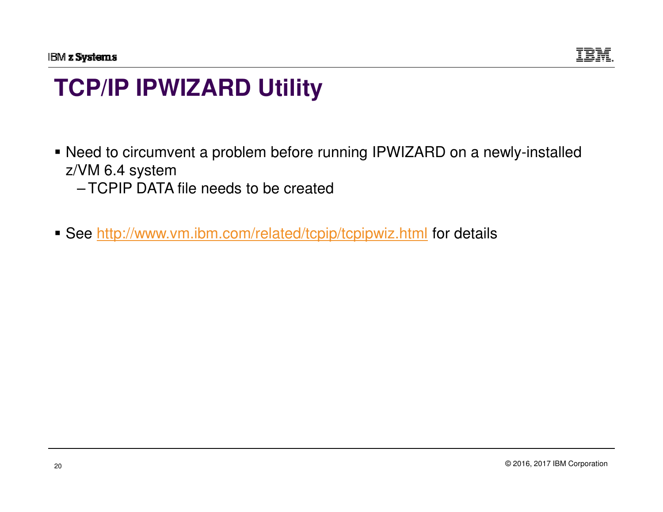

# **TCP/IP IPWIZARD Utility**

- Need to circumvent a problem before running IPWIZARD on a newly-installed z/VM 6.4 system
	- TCPIP DATA file needs to be created
- See <u>http://www.vm.ibm.com/related/tcpip/tcpipwiz.html</u> for details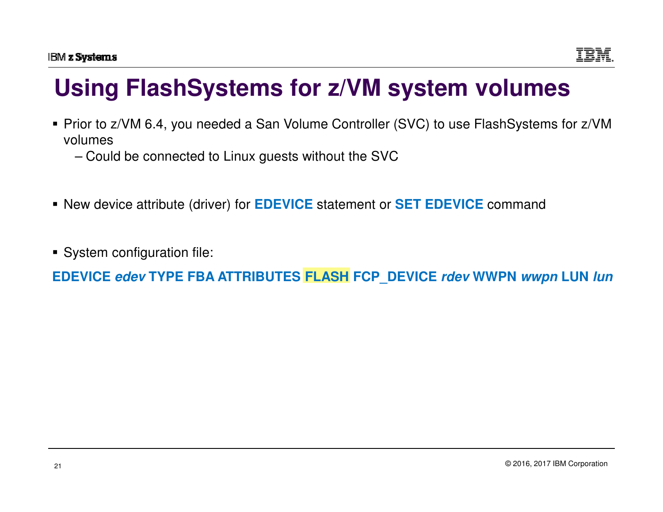# **Using FlashSystems for z/VM system volumes**

- Prior to z/VM 6.4, you needed a San Volume Controller (SVC) to use FlashSystems for z/VM volumes
	- Could be connected to Linux guests without the SVC
- New device attribute (driver) for **EDEVICE** statement or **SET EDEVICE** command
- **System configuration file:**

**EDEVICE edev TYPE FBA ATTRIBUTES FLASH FCP\_DEVICE rdev WWPN wwpn LUN lun**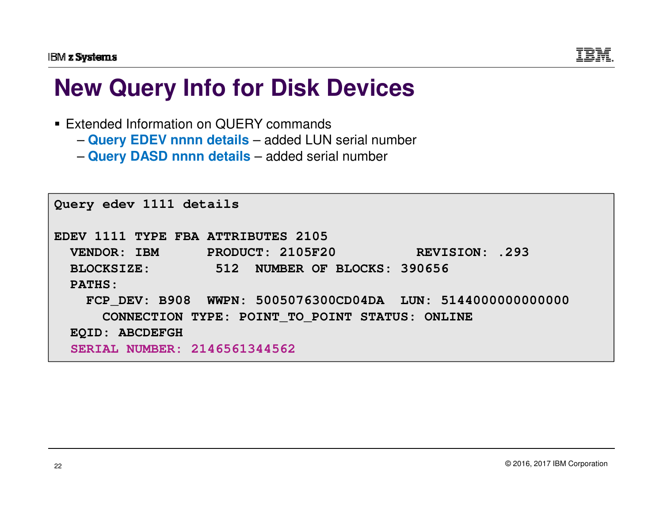

#### **New Query Info for Disk Devices**

- **Extended Information on QUERY commands** 
	- **Query EDEV nnnn details**  added LUN serial number
	- **Query DASD nnnn details**  added serial number

**Query edev 1111 details EDEV 1111 TYPE FBA ATTRIBUTES 2105 VENDOR: IBM PRODUCT: 2105F20 REVISION: .293 BLOCKSIZE: 512 NUMBER OF BLOCKS: 390656 PATHS: FCP\_DEV: B908 WWPN: 5005076300CD04DA LUN: 5144000000000000 CONNECTION TYPE: POINT\_TO\_POINT STATUS: ONLINE EQID: ABCDEFGH SERIAL NUMBER: 2146561344562**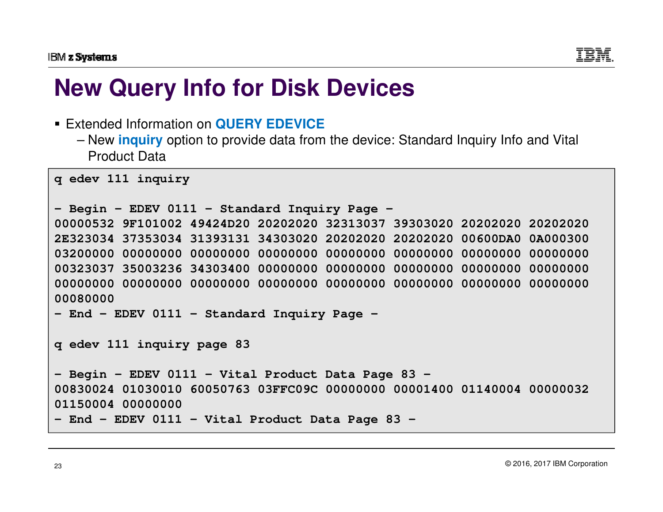

# **New Query Info for Disk Devices**

- Extended Information on **QUERY EDEVICE**
	- New **inquiry** option to provide data from the device: Standard Inquiry Info and Vital Product Data

```
q edev 111 inquiry
- Begin - EDEV 0111 - Standard Inquiry Page -
00000532 9F101002 49424D20 20202020 32313037 39303020 20202020 20202020
2E323034 37353034 31393131 34303020 20202020 20202020 00600DA0 0A000300
03200000 00000000 00000000 00000000 00000000 00000000 00000000 00000000
00323037 35003236 34303400 00000000 00000000 00000000 00000000 00000000
00000000 00000000 00000000 00000000 00000000 00000000 00000000 0000000000080000 
- End - EDEV 0111 - Standard Inquiry Page -
q edev 111 inquiry page 83 
- Begin - EDEV 0111 - Vital Product Data Page 83 -
00830024 01030010 60050763 03FFC09C 00000000 00001400 01140004 0000003201150004 00000000 
- End - EDEV 0111 - Vital Product Data Page 83 -
```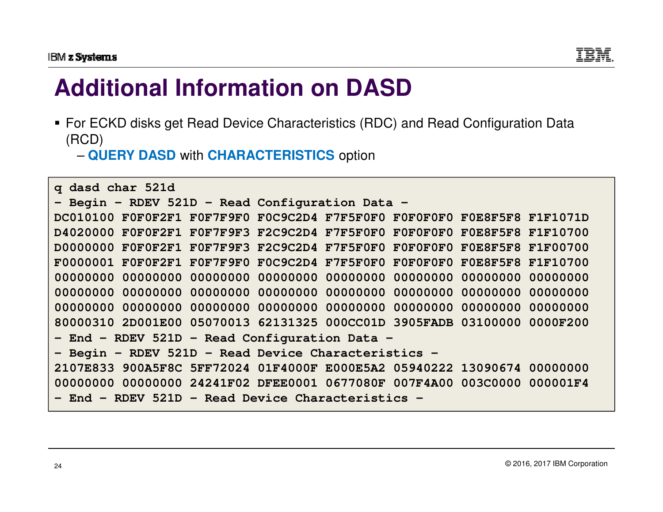

# **Additional Information on DASD**

 For ECKD disks get Read Device Characteristics (RDC) and Read Configuration Data (RCD)

– **QUERY DASD** with **CHARACTERISTICS** option

```
q dasd char 521d 
- Begin - RDEV 521D - Read Configuration Data -
DC010100 F0F0F2F1 F0F7F9F0 F0C9C2D4 F7F5F0F0 F0F0F0F0 F0E8F5F8 F1F1071D
D4020000 F0F0F2F1 F0F7F9F3 F2C9C2D4 F7F5F0F0 F0F0F0F0 F0E8F5F8 F1F10700
D0000000 F0F0F2F1 F0F7F9F3 F2C9C2D4 F7F5F0F0 F0F0F0F0 F0E8F5F8 F1F00700
F0000001 F0F0F2F1 F0F7F9F0 F0C9C2D4 F7F5F0F0 F0F0F0F0 F0E8F5F8 F1F10700
00000000 00000000 00000000 00000000 00000000 00000000 00000000 00000000
00000000 00000000 00000000 00000000 00000000 00000000 00000000 00000000
00000000 00000000 00000000 00000000 00000000 00000000 00000000 00000000
80000310 2D001E00 05070013 62131325 000CC01D 3905FADB 03100000 0000F200- End - RDEV 521D - Read Configuration Data -
- Begin - RDEV 521D - Read Device Characteristics -
2107E833 900A5F8C 5FF72024 01F4000F E000E5A2 05940222 13090674 00000000
00000000 00000000 24241F02 DFEE0001 0677080F 007F4A00 003C0000 000001F4- End - RDEV 521D - Read Device Characteristics -
```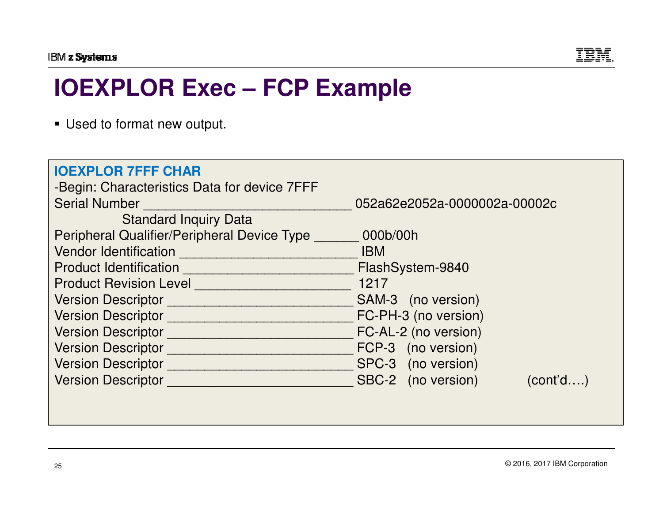

## **IOEXPLOR Exec – FCP Example**

Used to format new output.

| <b>IOEXPLOR 7FFF CHAR</b>                    |                                |  |  |
|----------------------------------------------|--------------------------------|--|--|
| -Begin: Characteristics Data for device 7FFF |                                |  |  |
| <b>Serial Number</b>                         | 052a62e2052a-0000002a-00002c   |  |  |
| <b>Standard Inquiry Data</b>                 |                                |  |  |
| Peripheral Qualifier/Peripheral Device Type  | 000b/00h                       |  |  |
| <b>Vendor Identification</b>                 | <b>IBM</b>                     |  |  |
| <b>Product Identification</b>                | FlashSystem-9840               |  |  |
| <b>Product Revision Level</b>                | 1217                           |  |  |
| <b>Version Descriptor</b>                    | SAM-3 (no version)             |  |  |
| <b>Version Descriptor</b>                    | FC-PH-3 (no version)           |  |  |
| <b>Version Descriptor</b>                    | FC-AL-2 (no version)           |  |  |
| <b>Version Descriptor</b>                    | FCP-3 (no version)             |  |  |
| <b>Version Descriptor</b>                    | SPC-3 (no version)             |  |  |
| <b>Version Descriptor</b>                    | SBC-2 (no version)<br>(cont'd) |  |  |
|                                              |                                |  |  |
|                                              |                                |  |  |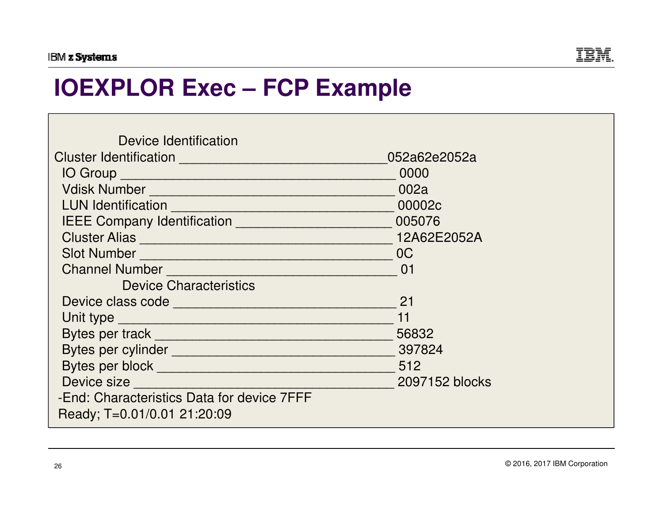

| Device Identification                                                                                                                                                                                                          |                |
|--------------------------------------------------------------------------------------------------------------------------------------------------------------------------------------------------------------------------------|----------------|
| Cluster Identification<br><u>Cluster</u> Identification                                                                                                                                                                        | 052a62e2052a   |
|                                                                                                                                                                                                                                | 0000           |
| Vdisk Number National Account of the Maria Contractor and Account of the United States                                                                                                                                         | 002a           |
| LUN Identification <b>LUN</b>                                                                                                                                                                                                  | 00002c         |
| <b>IEEE Company Identification</b>                                                                                                                                                                                             | 005076         |
| Cluster Alias Management Cluster Alias                                                                                                                                                                                         | 12A62E2052A    |
| Slot Number<br><u> Slot Number</u>                                                                                                                                                                                             | OC             |
| Channel Number                                                                                                                                                                                                                 | 01             |
| <b>Device Characteristics</b>                                                                                                                                                                                                  |                |
| Device class code                                                                                                                                                                                                              | 21             |
|                                                                                                                                                                                                                                | 11             |
|                                                                                                                                                                                                                                | 56832          |
|                                                                                                                                                                                                                                | 397824         |
| Bytes per block New York Charles and Charles Charles Charles Charles Charles Charles Charles Charles Charles Charles Charles Charles Charles Charles Charles Charles Charles Charles Charles Charles Charles Charles Charles C | 512            |
| Device size <b>Device</b> Size                                                                                                                                                                                                 | 2097152 blocks |
| -End: Characteristics Data for device 7FFF                                                                                                                                                                                     |                |
| Ready; T=0.01/0.01 21:20:09                                                                                                                                                                                                    |                |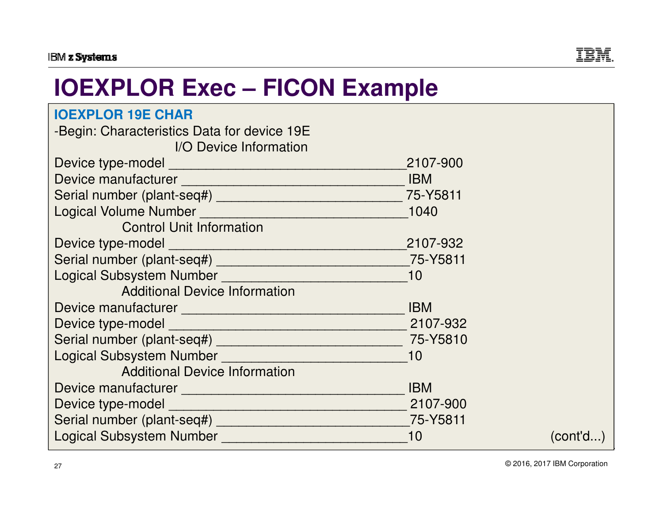

| <b>IOEXPLOR 19E CHAR</b>                    |                |
|---------------------------------------------|----------------|
| -Begin: Characteristics Data for device 19E |                |
| I/O Device Information                      |                |
|                                             | 2107-900       |
|                                             | <b>IBM</b>     |
|                                             | 75-Y5811       |
|                                             | 1040           |
| <b>Control Unit Information</b>             |                |
|                                             | 2107-932       |
|                                             |                |
| Logical Subsystem Number 10 and 10          |                |
| <b>Additional Device Information</b>        |                |
|                                             | <b>IBM</b>     |
|                                             | 2107-932       |
|                                             |                |
|                                             | 10             |
| <b>Additional Device Information</b>        |                |
|                                             | <b>IBM</b>     |
|                                             | 2107-900       |
|                                             | 75-Y5811       |
|                                             | 10<br>(cont'd) |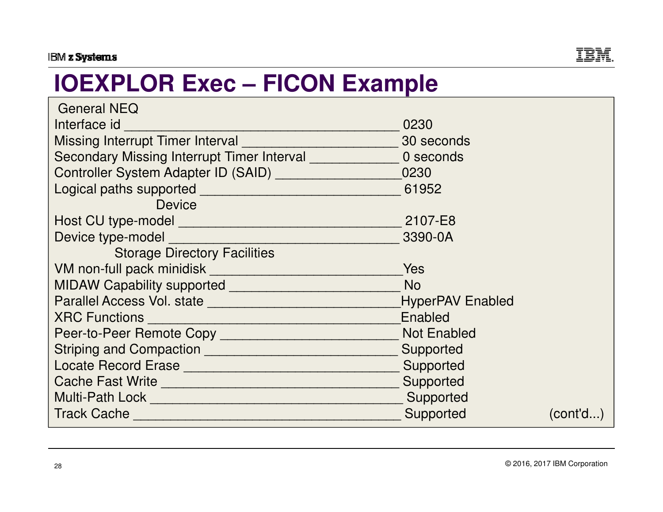

| <b>General NEQ</b>                                                                                                                                                                                                            |                         |
|-------------------------------------------------------------------------------------------------------------------------------------------------------------------------------------------------------------------------------|-------------------------|
| Interface id                                                                                                                                                                                                                  | 0230                    |
|                                                                                                                                                                                                                               | 30 seconds              |
| Secondary Missing Interrupt Timer Interval 0 seconds                                                                                                                                                                          |                         |
| Controller System Adapter ID (SAID)                                                                                                                                                                                           | 0230                    |
|                                                                                                                                                                                                                               | 61952                   |
| <b>Device</b>                                                                                                                                                                                                                 |                         |
|                                                                                                                                                                                                                               | 2107-E8                 |
|                                                                                                                                                                                                                               | 3390-0A                 |
| <b>Storage Directory Facilities</b>                                                                                                                                                                                           |                         |
| VM non-full pack minidisk and the control of the control of the control of the control of the control of the control of the control of the control of the control of the control of the control of the control of the control | <b>Yes</b>              |
|                                                                                                                                                                                                                               | <b>No</b>               |
|                                                                                                                                                                                                                               | <b>HyperPAV Enabled</b> |
| XRC Functions <b>Manual Accord Property Accord Property Accord Property Accord Property</b>                                                                                                                                   | <b>Enabled</b>          |
|                                                                                                                                                                                                                               | <b>Not Enabled</b>      |
|                                                                                                                                                                                                                               | Supported               |
|                                                                                                                                                                                                                               | Supported               |
| Cache Fast Write                                                                                                                                                                                                              | Supported               |
|                                                                                                                                                                                                                               | Supported               |
| Track Cache                                                                                                                                                                                                                   | Supported<br>(cont'd)   |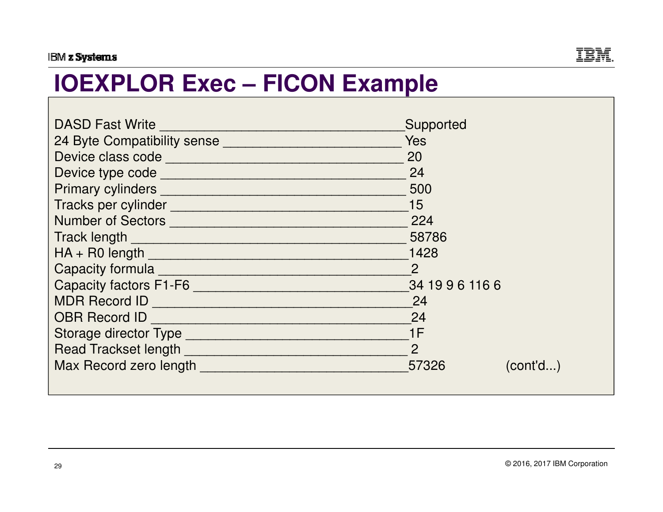

| DASD Fast Write                                                                                                                                                                                                                      | Supported       |          |
|--------------------------------------------------------------------------------------------------------------------------------------------------------------------------------------------------------------------------------------|-----------------|----------|
| 24 Byte Compatibility sense                                                                                                                                                                                                          | <b>Yes</b>      |          |
| Device class code                                                                                                                                                                                                                    | 20              |          |
| Device type code                                                                                                                                                                                                                     | 24              |          |
| Primary cylinders Management and Contact the Contact of The Contact and Contact and Contact and Contact and Co                                                                                                                       | 500             |          |
|                                                                                                                                                                                                                                      | 15              |          |
| Number of Sectors <b>Number of Sectors</b>                                                                                                                                                                                           | 224             |          |
|                                                                                                                                                                                                                                      | 58786           |          |
|                                                                                                                                                                                                                                      | 1428            |          |
| Capacity formula                                                                                                                                                                                                                     | $\overline{2}$  |          |
| Capacity factors F1-F6                                                                                                                                                                                                               | 34 19 9 6 116 6 |          |
| MDR Record ID<br>Letter Library and The Record ID<br>1999 - The Record ID<br>1999 - The Record ID<br>1999 - The Record ID<br>1999 - The Record ID                                                                                    | 24              |          |
| OBR Record ID <b>CONSUMINATION</b>                                                                                                                                                                                                   | 24              |          |
| Storage director Type <b>Storage Storage Storage Storage Storage Storage Storage Storage Storage Storage Storage Storage Storage Storage Storage Storage Storage Storage Storage Storage Storage Storage Storage Storage Storage</b> | 1F              |          |
| <b>Read Trackset length</b>                                                                                                                                                                                                          | $\overline{2}$  |          |
| Max Record zero length                                                                                                                                                                                                               | 57326           | (cont'd) |
|                                                                                                                                                                                                                                      |                 |          |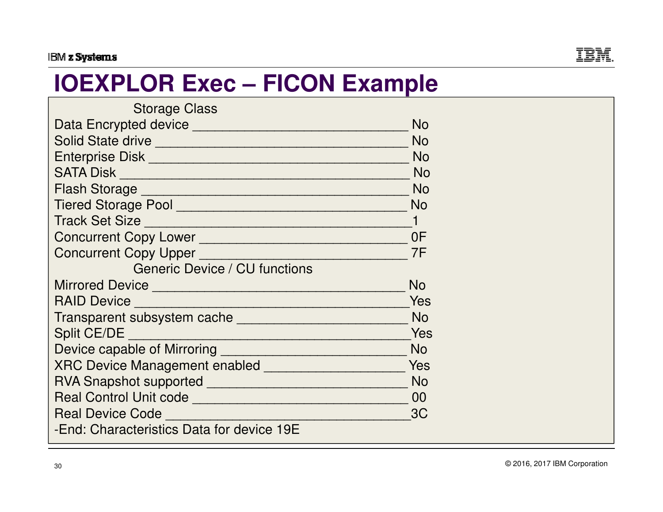#### IBM z Systems



| <b>Storage Class</b>                                         |           |
|--------------------------------------------------------------|-----------|
|                                                              | <b>No</b> |
| Solid State drive New York Solid State drive                 | <b>No</b> |
|                                                              | <b>No</b> |
| SATA Disk                                                    | <b>No</b> |
|                                                              | <b>No</b> |
|                                                              | <b>No</b> |
| Track Set Size                                               |           |
|                                                              | 0F        |
|                                                              | 7F        |
| <b>Generic Device / CU functions</b>                         |           |
|                                                              | <b>No</b> |
| RAID Device                                                  | Yes       |
|                                                              | No        |
|                                                              | Yes       |
|                                                              | <b>No</b> |
| XRC Device Management enabled                                | Yes       |
|                                                              | <b>No</b> |
| Real Control Unit code <b>Manual Accord Property Control</b> | 00        |
| <b>Real Device Code Real Device Code</b>                     | 3C        |
| -End: Characteristics Data for device 19E                    |           |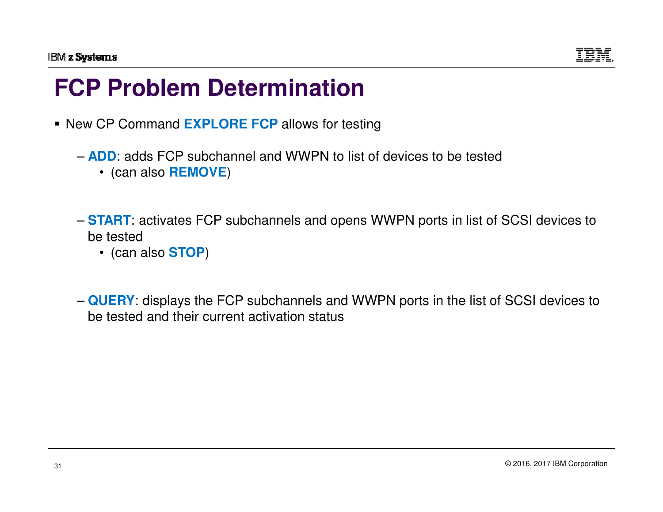

## **FCP Problem Determination**

- New CP Command **EXPLORE FCP** allows for testing
	- **ADD**: adds FCP subchannel and WWPN to list of devices to be tested
		- (can also **REMOVE**)
	- **START**: activates FCP subchannels and opens WWPN ports in list of SCSI devices to be tested
		- (can also **STOP**)
	- **QUERY**: displays the FCP subchannels and WWPN ports in the list of SCSI devices to be tested and their current activation status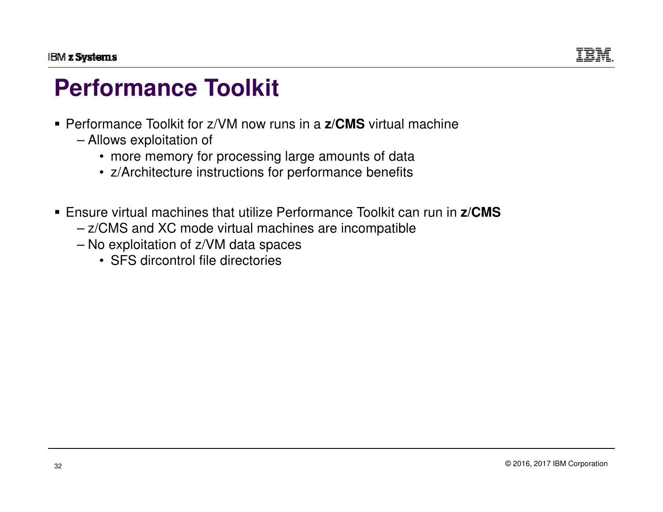

#### **Performance Toolkit**

- Performance Toolkit for z/VM now runs in a **z/CMS** virtual machine
	- Allows exploitation of
		- more memory for processing large amounts of data
		- z/Architecture instructions for performance benefits
- Ensure virtual machines that utilize Performance Toolkit can run in **z/CMS**
	- z/CMS and XC mode virtual machines are incompatible
	- No exploitation of z/VM data spaces
		- SFS dircontrol file directories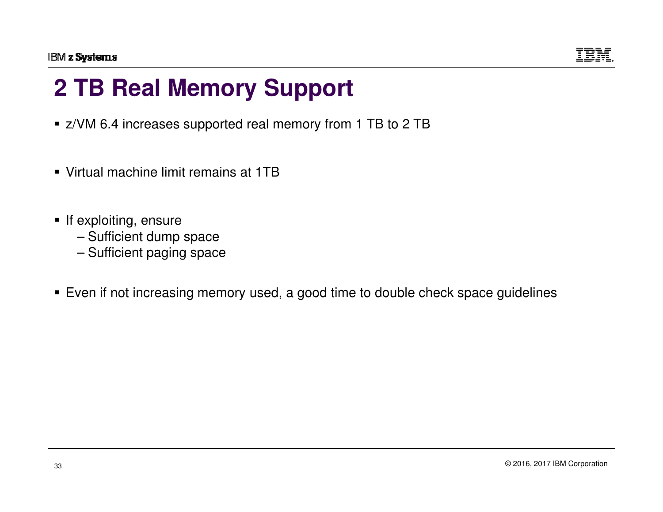

# **2 TB Real Memory Support**

- z/VM 6.4 increases supported real memory from 1 TB to 2 TB
- Virtual machine limit remains at 1TB
- $\textcolor{red}{\bullet}$  If exploiting, ensure
	- Sufficient dump space
	- Sufficient paging space
- $\textcolor{red}{\bullet}$  Even if not increasing memory used, a good time to double check space guidelines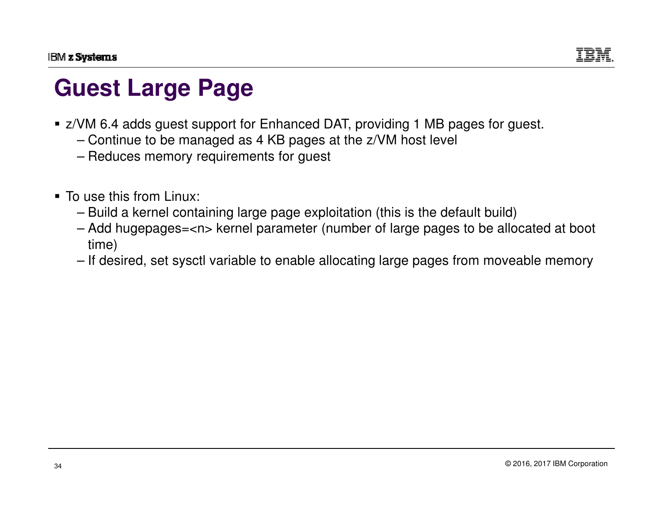

# **Guest Large Page**

- z/VM 6.4 adds guest support for Enhanced DAT, providing 1 MB pages for guest.
	- Continue to be managed as 4 KB pages at the z/VM host level
	- Reduces memory requirements for guest
- To use this from Linux:
	- Build a kernel containing large page exploitation (this is the default build)
	- Add hugepages=<n> kernel parameter (number of large pages to be allocated at boot time)
	- If desired, set sysctl variable to enable allocating large pages from moveable memory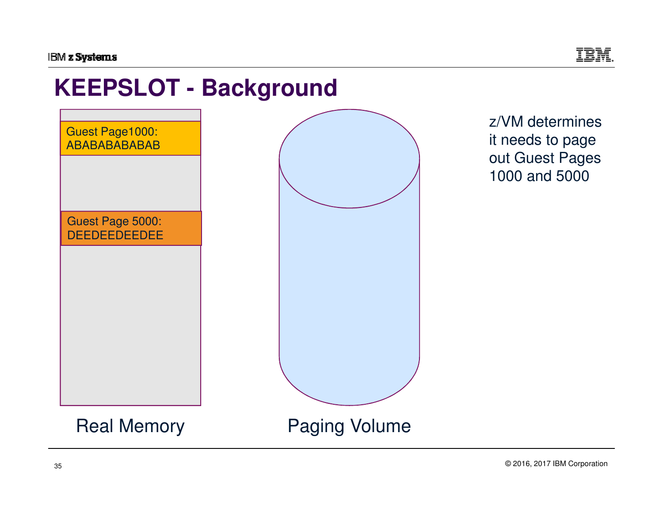

z/VM determines

it needs to page

1000 and 5000

out Guest Pages

#### **KEEPSLOT - Background**

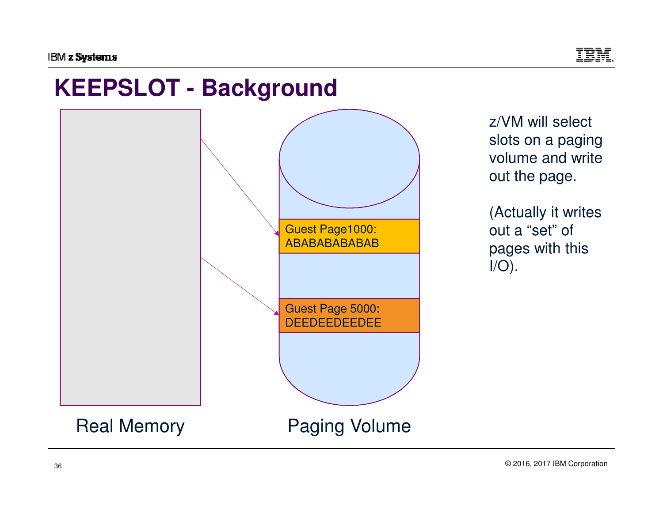



z/VM will select slots on a paging volume and write out the page.

(Actually it writes out a "set" of pages with this  $I/O$ ).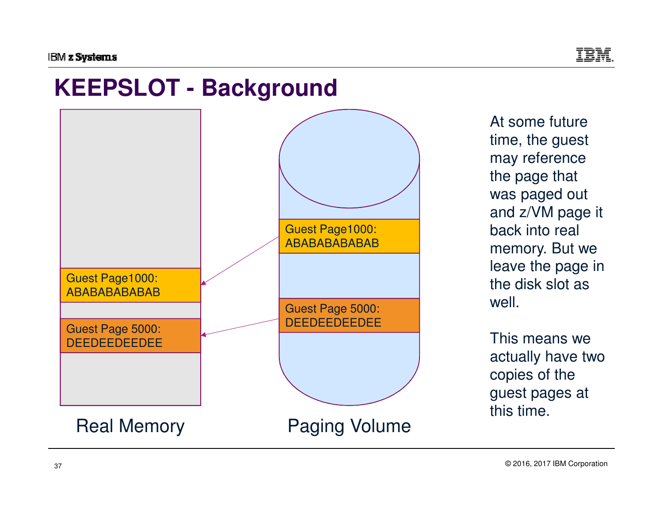



At some future time, the guest may reference the page that was paged out and z/VM page it back into real memory. But we leave the page in the disk slot as well.

This means we actually have two copies of the guest pages at this time.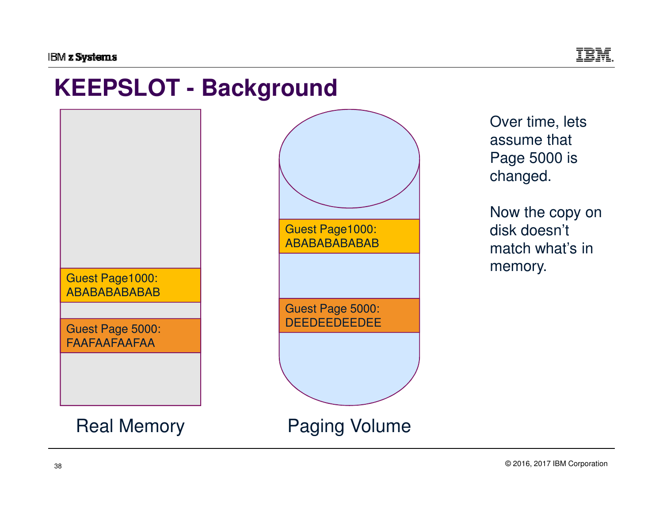



Over time, lets assume that Page 5000 is changed.

Now the copy on disk doesn't match what's in memory.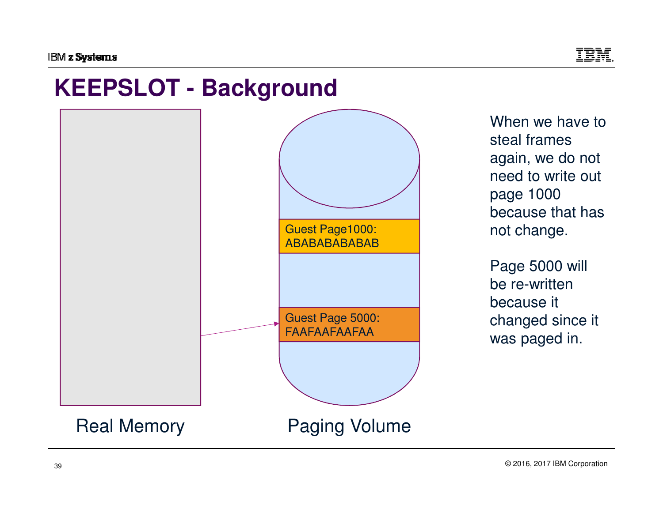



When we have to steal frames again, we do not need to write out page 1000 because that has not change.

Page 5000 will be re-written because it changed since it was paged in.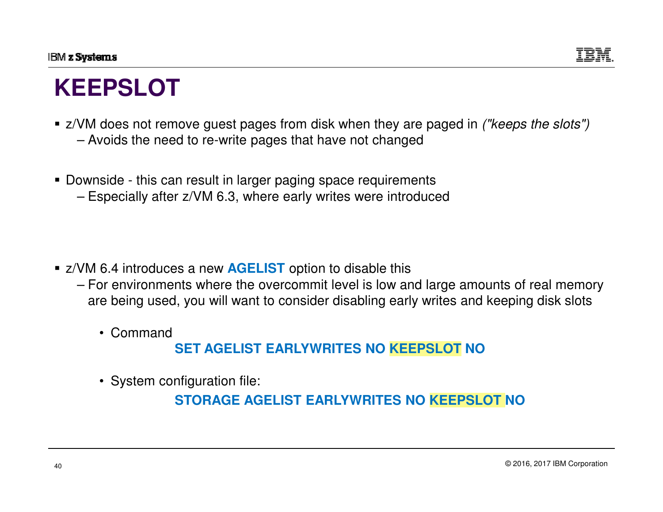

# **KEEPSLOT**

- **•** z/VM does not remove guest pages from disk when they are paged in *("keeps the slots")* – Avoids the need to re-write pages that have not changed
- **Downside this can result in larger paging space requirements** – Especially after z/VM 6.3, where early writes were introduced

- **z/VM 6.4 introduces a new AGELIST option to disable this** 
	- For environments where the overcommit level is low and large amounts of real memory are being used, you will want to consider disabling early writes and keeping disk slots
		- Command

#### **SET AGELIST EARLYWRITES NO KEEPSLOT NO**

• System configuration file:

**STORAGE AGELIST EARLYWRITES NO KEEPSLOT NO**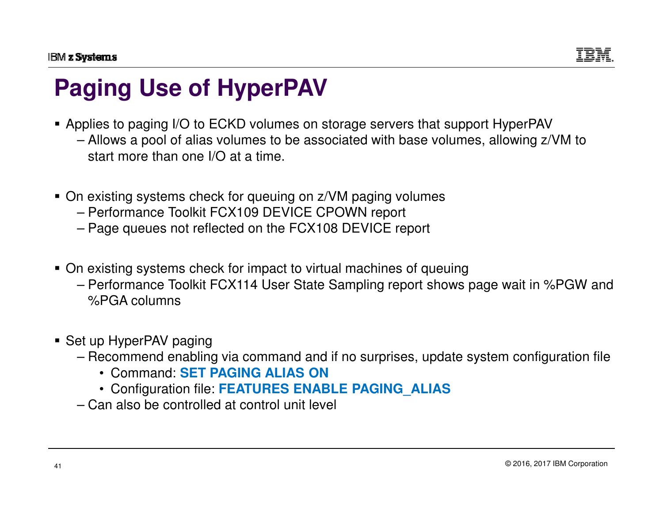

# **Paging Use of HyperPAV**

- Applies to paging I/O to ECKD volumes on storage servers that support HyperPAV
	- Allows a pool of alias volumes to be associated with base volumes, allowing z/VM to start more than one I/O at a time.
- On existing systems check for queuing on z/VM paging volumes
	- Performance Toolkit FCX109 DEVICE CPOWN report
	- Page queues not reflected on the FCX108 DEVICE report
- On existing systems check for impact to virtual machines of queuing
	- Performance Toolkit FCX114 User State Sampling report shows page wait in %PGW and %PGA columns
- Set up HyperPAV paging
	- Recommend enabling via command and if no surprises, update system configuration file
		- Command: **SET PAGING ALIAS ON**
		- Configuration file: **FEATURES ENABLE PAGING\_ALIAS**
	- Can also be controlled at control unit level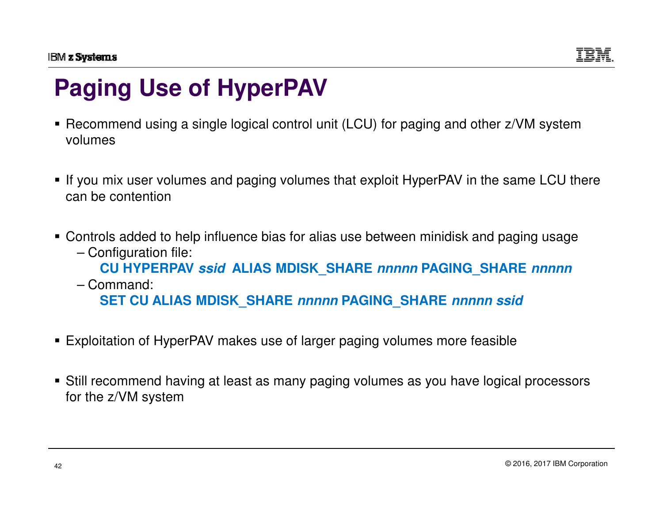

# **Paging Use of HyperPAV**

- Recommend using a single logical control unit (LCU) for paging and other z/VM system volumes
- **If you mix user volumes and paging volumes that exploit HyperPAV in the same LCU there** can be contention
- Controls added to help influence bias for alias use between minidisk and paging usage– Configuration file:

**CU HYPERPAV ssid ALIAS MDISK\_SHARE nnnnn PAGING\_SHARE nnnnn**

- Command: **SET CU ALIAS MDISK\_SHARE nnnnn PAGING\_SHARE nnnnn ssid**
- Exploitation of HyperPAV makes use of larger paging volumes more feasible
- Still recommend having at least as many paging volumes as you have logical processors for the z/VM system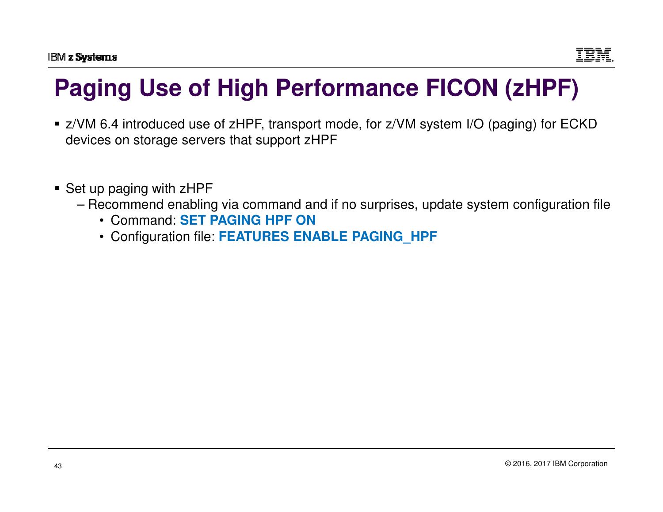# **Paging Use of High Performance FICON (zHPF)**

- z/VM 6.4 introduced use of zHPF, transport mode, for z/VM system I/O (paging) for ECKD devices on storage servers that support zHPF
- $\textcolor{red}{\bullet}$  Set up paging with zHPF
	- Recommend enabling via command and if no surprises, update system configuration file
		- Command: **SET PAGING HPF ON**
		- Configuration file: **FEATURES ENABLE PAGING\_HPF**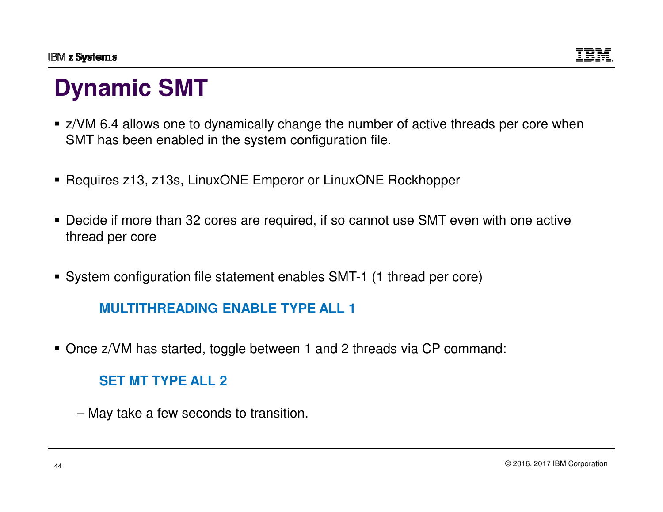# **Dynamic SMT**

- z/VM 6.4 allows one to dynamically change the number of active threads per core when SMT has been enabled in the system configuration file.
- Requires z13, z13s, LinuxONE Emperor or LinuxONE Rockhopper
- Decide if more than 32 cores are required, if so cannot use SMT even with one active thread per core
- System configuration file statement enables SMT-1 (1 thread per core)

#### **MULTITHREADING ENABLE TYPE ALL 1**

Once z/VM has started, toggle between 1 and 2 threads via CP command:

#### **SET MT TYPE ALL 2**

– May take a few seconds to transition.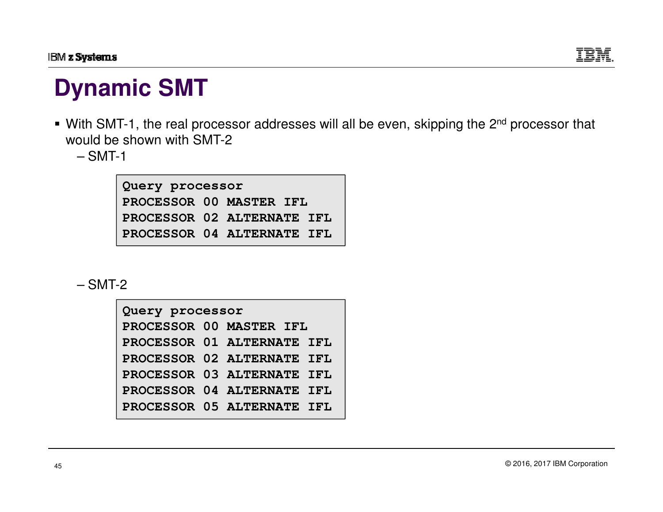

### **Dynamic SMT**

■ With SMT-1, the real processor addresses will all be even, skipping the 2<sup>nd</sup> processor that would be shown with SMT-2

– SMT-1

**Query processor PROCESSOR 00 MASTER IFL PROCESSOR 02 ALTERNATE IFL PROCESSOR 04 ALTERNATE IFL** 

– SMT-2

**Query processor PROCESSOR 00 MASTER IFL PROCESSOR 01 ALTERNATE IFL PROCESSOR 02 ALTERNATE IFL PROCESSOR 03 ALTERNATE IFL PROCESSOR 04 ALTERNATE IFLPROCESSOR 05 ALTERNATE IFL**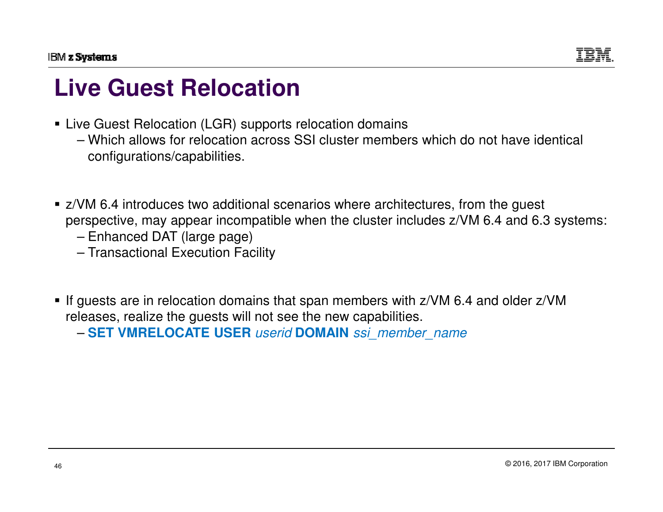

# **Live Guest Relocation**

- Live Guest Relocation (LGR) supports relocation domains
	- Which allows for relocation across SSI cluster members which do not have identical configurations/capabilities.
- z/VM 6.4 introduces two additional scenarios where architectures, from the guest perspective, may appear incompatible when the cluster includes z/VM 6.4 and 6.3 systems:
	- Enhanced DAT (large page)
	- Transactional Execution Facility
- If guests are in relocation domains that span members with z/VM 6.4 and older z/VM releases, realize the guests will not see the new capabilities.

– **SET VMRELOCATE USER** userid **DOMAIN** ssi\_member\_name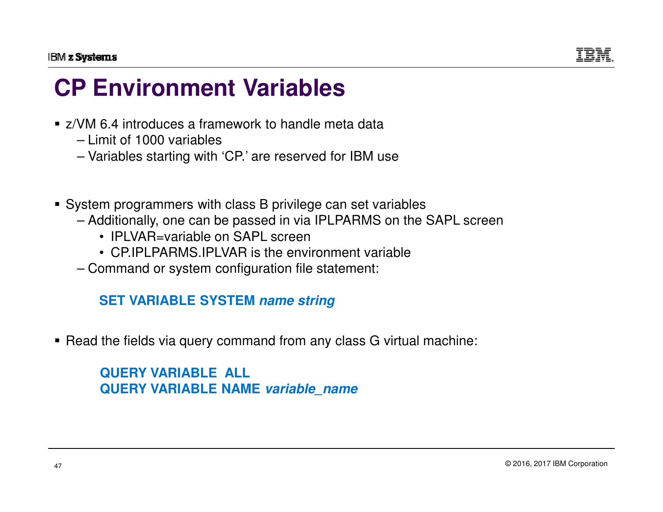

### **CP Environment Variables**

- z/VM 6.4 introduces a framework to handle meta data
	- Limit of 1000 variables
	- Variables starting with 'CP.' are reserved for IBM use
- System programmers with class B privilege can set variables
	- Additionally, one can be passed in via IPLPARMS on the SAPL screen
		- IPLVAR=variable on SAPL screen
		- CP.IPLPARMS.IPLVAR is the environment variable
	- Command or system configuration file statement:

#### **SET VARIABLE SYSTEM name string**

Read the fields via query command from any class G virtual machine:

**QUERY VARIABLE ALLQUERY VARIABLE NAME variable\_name**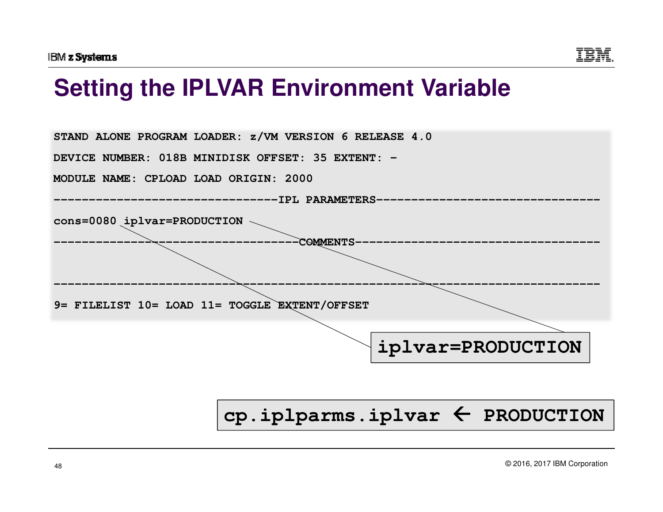

#### **Setting the IPLVAR Environment Variable**



# **cp.iplparms.iplvar PRODUCTION**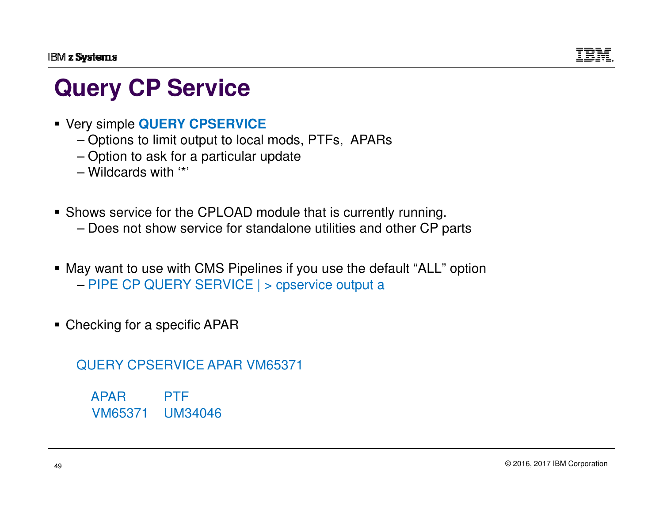

# **Query CP Service**

- Very simple **QUERY CPSERVICE**
	- Options to limit output to local mods, PTFs, APARs
	- Option to ask for a particular update
	- Wildcards with '\*'
- Shows service for the CPLOAD module that is currently running.
	- Does not show service for standalone utilities and other CP parts
- May want to use with CMS Pipelines if you use the default "ALL" option– PIPE CP QUERY SERVICE | > cpservice output a
- Checking for a specific APAR

QUERY CPSERVICE APAR VM65371

APAR PTF VM65371 UM34046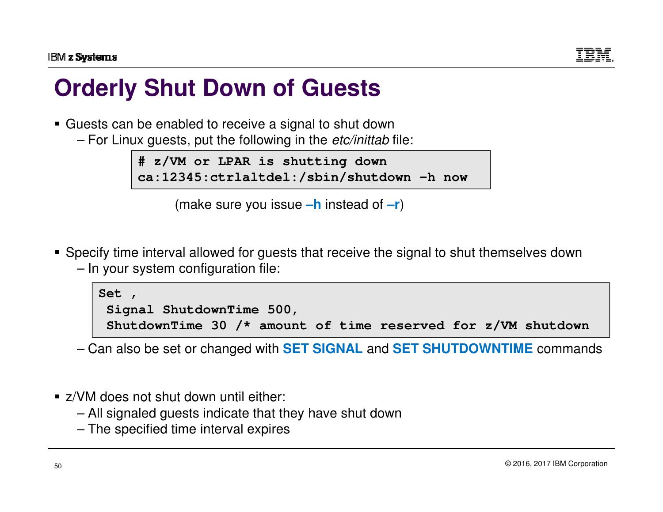

# **Orderly Shut Down of Guests**

Guests can be enabled to receive a signal to shut down

– For Linux guests, put the following in the *etc/inittab* file:

**# z/VM or LPAR is shutting downca:12345:ctrlaltdel:/sbin/shutdown -h now**

```
(make sure you issue –h instead of –r)
```
 Specify time interval allowed for guests that receive the signal to shut themselves down– In your system configuration file:

```
Set , 
Signal ShutdownTime 500,
 ShutdownTime 30 /* amount of time reserved for z/VM shutdown
```
– Can also be set or changed with **SET SIGNAL** and **SET SHUTDOWNTIME** commands

- z/VM does not shut down until either:
	- All signaled guests indicate that they have shut down
	- The specified time interval expires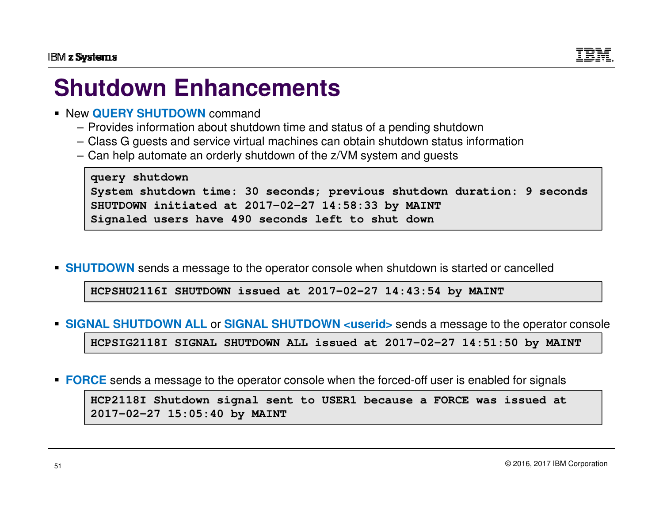### **Shutdown Enhancements**

- New **QUERY SHUTDOWN** command
	- Provides information about shutdown time and status of a pending shutdown
	- Class G guests and service virtual machines can obtain shutdown status information
	- Can help automate an orderly shutdown of the z/VM system and guests

```
query shutdown 
System shutdown time: 30 seconds; previous shutdown duration: 9 secondsSHUTDOWN initiated at 2017-02-27 14:58:33 by MAINT Signaled users have 490 seconds left to shut down
```
**SHUTDOWN** sends a message to the operator console when shutdown is started or cancelled

**HCPSHU2116I SHUTDOWN issued at 2017-02-27 14:43:54 by MAINT**

- **SIGNAL SHUTDOWN ALL** or **SIGNAL SHUTDOWN <userid>** sends a message to the operator console**HCPSIG2118I SIGNAL SHUTDOWN ALL issued at 2017-02-27 14:51:50 by MAINT**
- **FORCE** sends a message to the operator console when the forced-off user is enabled for signals

**HCP2118I Shutdown signal sent to USER1 because a FORCE was issued at 2017-02-27 15:05:40 by MAINT**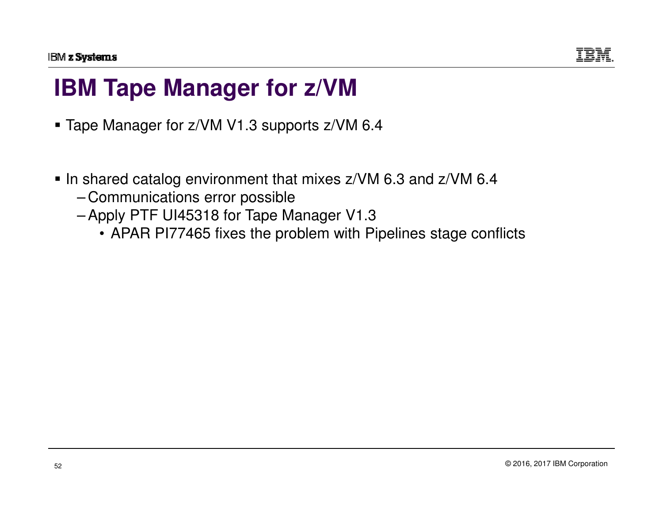

# **IBM Tape Manager for z/VM**

- Tape Manager for z/VM V1.3 supports z/VM 6.4
- $\blacksquare$  In shared catalog environment that mixes z/VM 6.3 and z/VM 6.4
	- Communications error possible
	- Apply PTF UI45318 for Tape Manager V1.3
		- APAR PI77465 fixes the problem with Pipelines stage conflicts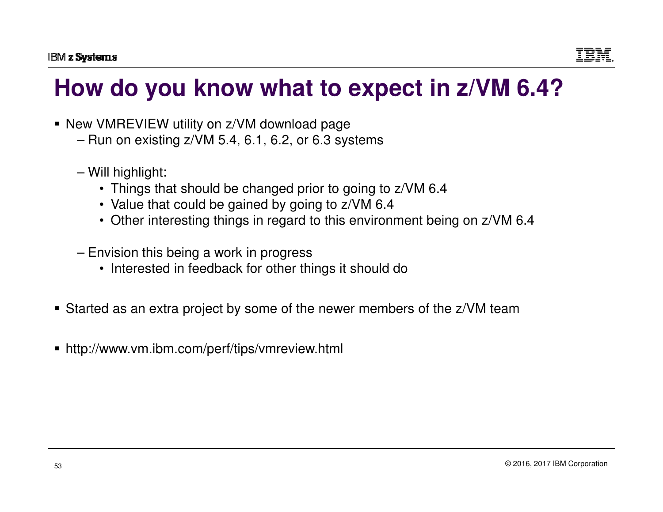

### **How do you know what to expect in z/VM 6.4?**

- New VMREVIEW utility on z/VM download page
	- Run on existing z/VM 5.4, 6.1, 6.2, or 6.3 systems
	- Will highlight:
		- Things that should be changed prior to going to z/VM 6.4
		- Value that could be gained by going to z/VM 6.4
		- Other interesting things in regard to this environment being on z/VM 6.4
	- Envision this being a work in progress
		- Interested in feedback for other things it should do
- Started as an extra project by some of the newer members of the z/VM team
- http://www.vm.ibm.com/perf/tips/vmreview.html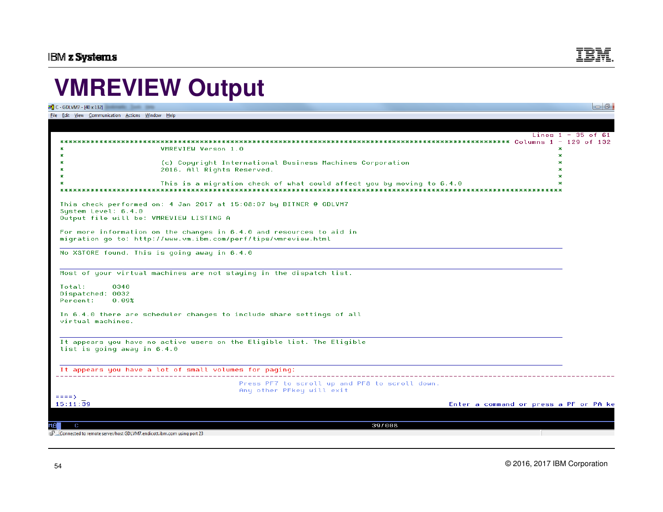#### IBM z Systems



#### **VMREVIEW Output**

| $\mathbf{F}^{\mathsf{T}}$ C - GDLVM7 - [40 x 132]                     |                                                                        | $ - $                                  |
|-----------------------------------------------------------------------|------------------------------------------------------------------------|----------------------------------------|
| File Edit View Communication Actions Window Help                      |                                                                        |                                        |
|                                                                       |                                                                        |                                        |
|                                                                       |                                                                        | Lines $1 - 35$ of $61$                 |
| ж                                                                     | VMREVIEW Verson 1.0                                                    | ********* Columns 1 - 129 of 132       |
| ж                                                                     |                                                                        | ж                                      |
|                                                                       | (c) Copyright International Business Machines Corporation              | ж                                      |
|                                                                       | 2016. All Rights Reserved.                                             |                                        |
|                                                                       | This is a migration check of what could affect you by moving to 6.4.0  |                                        |
|                                                                       |                                                                        |                                        |
|                                                                       |                                                                        |                                        |
| System Level: 6.4.0                                                   | This check performed on: 4 Jan 2017 at 15:08:07 by BITNER @ GDLVM7     |                                        |
| Output file will be: VMREVIEW LISTING A                               |                                                                        |                                        |
|                                                                       | For more information on the changes in 6.4.0 and resources to aid in   |                                        |
|                                                                       | migration go to: http://www.vm.ibm.com/perf/tips/vmreview.html         |                                        |
|                                                                       |                                                                        |                                        |
| No XSTORE found. This is going away in 6.4.0                          |                                                                        |                                        |
|                                                                       |                                                                        |                                        |
|                                                                       | Most of your virtual machines are not staying in the dispatch list.    |                                        |
| Total:<br>0340                                                        |                                                                        |                                        |
| Dispatched: 0032                                                      |                                                                        |                                        |
| Percent:<br>0.09%                                                     |                                                                        |                                        |
|                                                                       | In 6.4.0 there are scheduler changes to include share settings of all  |                                        |
| virtual machines.                                                     |                                                                        |                                        |
|                                                                       |                                                                        |                                        |
|                                                                       | It appears you have no active users on the Eligible list. The Eligible |                                        |
| list is going away in 6.4.0                                           |                                                                        |                                        |
|                                                                       |                                                                        |                                        |
|                                                                       | It appears you have a lot of small volumes for paging:                 |                                        |
|                                                                       | Press PF7 to scroll up and PF8 to scroll down.                         |                                        |
|                                                                       | Any other PFkey will exit                                              |                                        |
| $====$<br>15:11:39                                                    |                                                                        |                                        |
|                                                                       |                                                                        | Enter a command or press a PF or PA ke |
|                                                                       |                                                                        |                                        |
| C                                                                     | 39/008                                                                 |                                        |
| Connected to remote server/host GDLVM7.endicott.ibm.com using port 23 |                                                                        |                                        |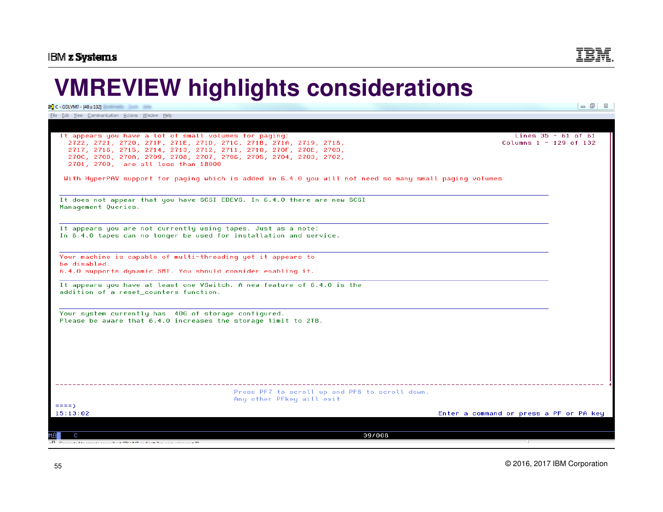

#### **VMREVIEW highlights considerations**

| File Edit View Communication Actions Window Help<br>It appears you have a lot of small volumes for paging:<br>2722, 2721, 2720, 271F, 271E, 271D, 271C, 271B, 271A, 2719, 2718,<br>2717, 2716, 2715, 2714, 2713, 2712, 2711, 2710, 270F, 270E, 270D,<br>270C, 270B, 270A, 2709, 2708, 2707, 2706, 2705, 2704, 2703, 2702,<br>2701, 2700, are all less than 18000<br>With HuperPAV support for paging which is added in 6.4.0 you will not need so many small paging volumes<br>It does not appear that you have SCSI EDEVS. In 6.4.0 there are new SCSI<br>Management Queries.<br>It appears you are not currently using tapes. Just as a note:<br>In 6.4.0 tapes can no longer be used for installation and service.<br>Your machine is capable of multi-threading yet it appears to<br>be disabled.<br>6.4.0 supports dynamic SMT. You should consider enabling it.<br>It appears you have at least one VSwitch. A new feature of 6.4.0 is the<br>addition of a reset counters function.<br>Your system currently has 40G of storage configured.<br>Please be aware that 6.4.0 increases the storage limit to 2TB.<br>Press PF7 to scroll up and PF8 to scroll down.<br>Any other PFkey will exit<br>$=$ = = = $\rightarrow$<br>15:13:02 | <b>EN</b> C - GDLVM7 - [40 x 132] |        | $\Box$ $\Box$ $\Box$                                  |
|--------------------------------------------------------------------------------------------------------------------------------------------------------------------------------------------------------------------------------------------------------------------------------------------------------------------------------------------------------------------------------------------------------------------------------------------------------------------------------------------------------------------------------------------------------------------------------------------------------------------------------------------------------------------------------------------------------------------------------------------------------------------------------------------------------------------------------------------------------------------------------------------------------------------------------------------------------------------------------------------------------------------------------------------------------------------------------------------------------------------------------------------------------------------------------------------------------------------------------------------|-----------------------------------|--------|-------------------------------------------------------|
|                                                                                                                                                                                                                                                                                                                                                                                                                                                                                                                                                                                                                                                                                                                                                                                                                                                                                                                                                                                                                                                                                                                                                                                                                                            |                                   |        |                                                       |
|                                                                                                                                                                                                                                                                                                                                                                                                                                                                                                                                                                                                                                                                                                                                                                                                                                                                                                                                                                                                                                                                                                                                                                                                                                            |                                   |        |                                                       |
|                                                                                                                                                                                                                                                                                                                                                                                                                                                                                                                                                                                                                                                                                                                                                                                                                                                                                                                                                                                                                                                                                                                                                                                                                                            |                                   |        | Lines $35 - 61$ of $61$<br>Columns $1 - 129$ of $132$ |
|                                                                                                                                                                                                                                                                                                                                                                                                                                                                                                                                                                                                                                                                                                                                                                                                                                                                                                                                                                                                                                                                                                                                                                                                                                            |                                   |        |                                                       |
|                                                                                                                                                                                                                                                                                                                                                                                                                                                                                                                                                                                                                                                                                                                                                                                                                                                                                                                                                                                                                                                                                                                                                                                                                                            |                                   |        |                                                       |
|                                                                                                                                                                                                                                                                                                                                                                                                                                                                                                                                                                                                                                                                                                                                                                                                                                                                                                                                                                                                                                                                                                                                                                                                                                            |                                   |        |                                                       |
|                                                                                                                                                                                                                                                                                                                                                                                                                                                                                                                                                                                                                                                                                                                                                                                                                                                                                                                                                                                                                                                                                                                                                                                                                                            |                                   |        |                                                       |
|                                                                                                                                                                                                                                                                                                                                                                                                                                                                                                                                                                                                                                                                                                                                                                                                                                                                                                                                                                                                                                                                                                                                                                                                                                            |                                   |        |                                                       |
|                                                                                                                                                                                                                                                                                                                                                                                                                                                                                                                                                                                                                                                                                                                                                                                                                                                                                                                                                                                                                                                                                                                                                                                                                                            |                                   |        |                                                       |
|                                                                                                                                                                                                                                                                                                                                                                                                                                                                                                                                                                                                                                                                                                                                                                                                                                                                                                                                                                                                                                                                                                                                                                                                                                            |                                   |        |                                                       |
|                                                                                                                                                                                                                                                                                                                                                                                                                                                                                                                                                                                                                                                                                                                                                                                                                                                                                                                                                                                                                                                                                                                                                                                                                                            |                                   |        |                                                       |
|                                                                                                                                                                                                                                                                                                                                                                                                                                                                                                                                                                                                                                                                                                                                                                                                                                                                                                                                                                                                                                                                                                                                                                                                                                            |                                   |        |                                                       |
|                                                                                                                                                                                                                                                                                                                                                                                                                                                                                                                                                                                                                                                                                                                                                                                                                                                                                                                                                                                                                                                                                                                                                                                                                                            |                                   |        |                                                       |
|                                                                                                                                                                                                                                                                                                                                                                                                                                                                                                                                                                                                                                                                                                                                                                                                                                                                                                                                                                                                                                                                                                                                                                                                                                            |                                   |        |                                                       |
|                                                                                                                                                                                                                                                                                                                                                                                                                                                                                                                                                                                                                                                                                                                                                                                                                                                                                                                                                                                                                                                                                                                                                                                                                                            |                                   |        | Enter a command or press a PF or PA key               |
|                                                                                                                                                                                                                                                                                                                                                                                                                                                                                                                                                                                                                                                                                                                                                                                                                                                                                                                                                                                                                                                                                                                                                                                                                                            |                                   |        |                                                       |
| $\sim$ the compact flat and CDIA/A27 and in the continuum continuum of 200                                                                                                                                                                                                                                                                                                                                                                                                                                                                                                                                                                                                                                                                                                                                                                                                                                                                                                                                                                                                                                                                                                                                                                 |                                   | 39/008 |                                                       |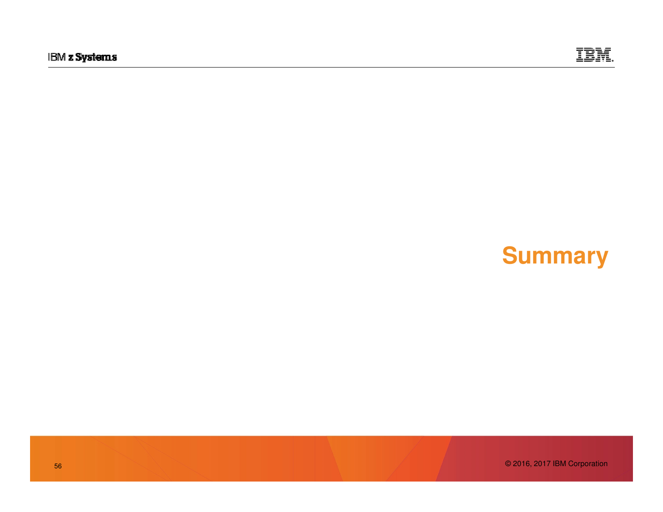

#### **Summary**